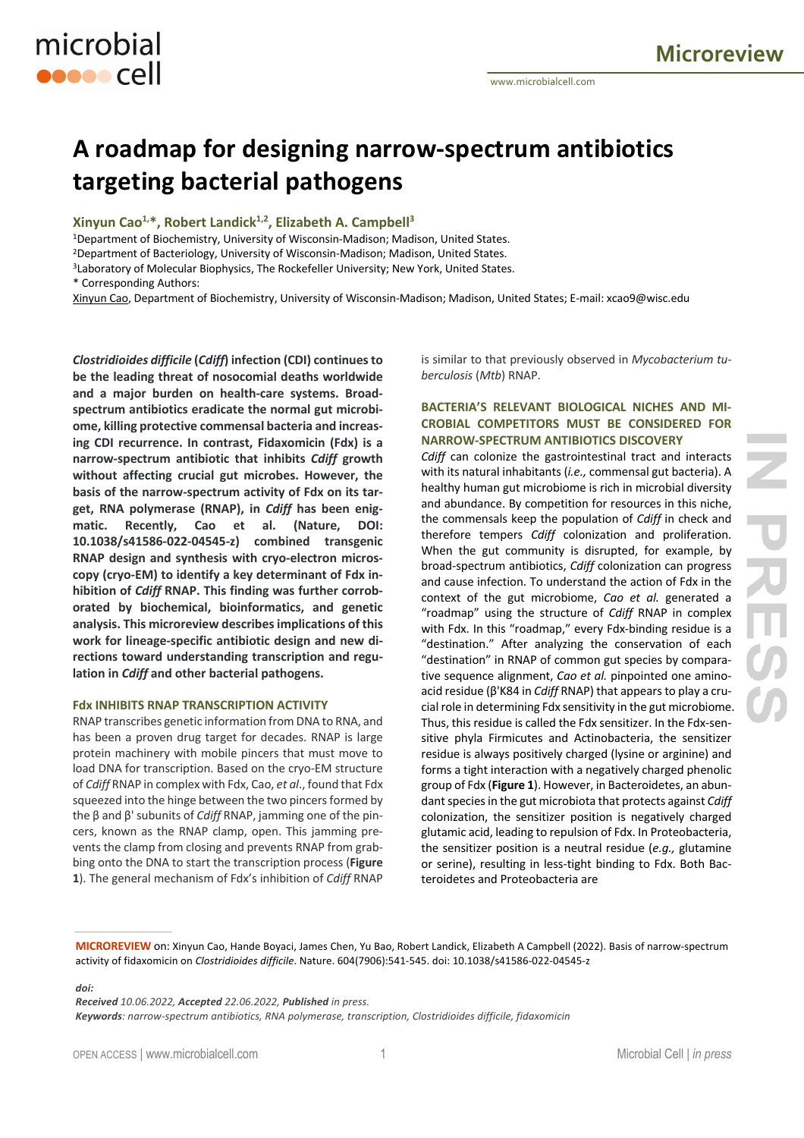# **A roadmap for designing narrow-spectrum antibiotics targeting bacterial pathogens**

# **Xinyun Cao1,\*, Robert Landick1,2, Elizabeth A. Campbell3**

microbial

**ODDOO** Cell

1Department of Biochemistry, University of Wisconsin-Madison; Madison, United States. 2Department of Bacteriology, University of Wisconsin-Madison; Madison, United States. <sup>3</sup>Laboratory of Molecular Biophysics, The Rockefeller University; New York, United States. \* Corresponding Authors:

Xinyun Cao, Department of Biochemistry, University of Wisconsin-Madison; Madison, United States; E-mail: xcao9@wisc.edu

*Clostridioides difficile* **(***Cdiff***) infection (CDI) continues to be the leading threat of nosocomial deaths worldwide and a major burden on health-care systems. Broadspectrum antibiotics eradicate the normal gut microbiome, killing protective commensal bacteria and increasing CDI recurrence. In contrast, Fidaxomicin (Fdx) is a narrow-spectrum antibiotic that inhibits** *Cdiff* **growth without affecting crucial gut microbes. However, the basis of the narrow-spectrum activity of Fdx on its target, RNA polymerase (RNAP), in** *Cdiff* **has been enigmatic. Recently, Cao et al. (Nature, DOI: 10.1038/s41586-022-04545-z) combined transgenic RNAP design and synthesis with cryo-electron microscopy (cryo-EM) to identify a key determinant of Fdx inhibition of** *Cdiff* **RNAP. This finding was further corroborated by biochemical, bioinformatics, and genetic analysis. This microreview describes implications of this work for lineage-specific antibiotic design and new directions toward understanding transcription and regulation in** *Cdiff* **and other bacterial pathogens.**

#### **Fdx INHIBITS RNAP TRANSCRIPTION ACTIVITY**

RNAP transcribes genetic information from DNA to RNA, and has been a proven drug target for decades. RNAP is large protein machinery with mobile pincers that must move to load DNA for transcription. Based on the cryo-EM structure of *Cdiff* RNAP in complex with Fdx, Cao, *et al*., found that Fdx squeezed into the hinge between the two pincers formed by the β and β' subunits of *Cdiff* RNAP, jamming one of the pincers, known as the RNAP clamp, open. This jamming prevents the clamp from closing and prevents RNAP from grabbing onto the DNA to start the transcription process (**Figure 1**). The general mechanism of Fdx's inhibition of *Cdiff* RNAP

is similar to that previously observed in *Mycobacterium tuberculosis* (*Mtb*) RNAP.

# **BACTERIA'S RELEVANT BIOLOGICAL NICHES AND MI-CROBIAL COMPETITORS MUST BE CONSIDERED FOR NARROW-SPECTRUM ANTIBIOTICS DISCOVERY**

*Cdiff* can colonize the gastrointestinal tract and interacts with its natural inhabitants (*i.e.,* commensal gut bacteria). A healthy human gut microbiome is rich in microbial diversity and abundance. By competition for resources in this niche, the commensals keep the population of *Cdiff* in check and therefore tempers *Cdiff* colonization and proliferation. When the gut community is disrupted, for example, by broad-spectrum antibiotics, *Cdiff* colonization can progress and cause infection. To understand the action of Fdx in the context of the gut microbiome, *Cao et al.* generated a "roadmap" using the structure of *Cdiff* RNAP in complex with Fdx. In this "roadmap," every Fdx-binding residue is a "destination." After analyzing the conservation of each "destination" in RNAP of common gut species by comparative sequence alignment, *Cao et al.* pinpointed one aminoacid residue (β'K84 in *Cdiff* RNAP) that appears to play a crucial role in determining Fdx sensitivity in the gut microbiome. Thus, this residue is called the Fdx sensitizer. In the Fdx-sensitive phyla Firmicutes and Actinobacteria, the sensitizer residue is always positively charged (lysine or arginine) and forms a tight interaction with a negatively charged phenolic group of Fdx (**Figure 1**). However, in Bacteroidetes, an abundant species in the gut microbiota that protects against *Cdiff*  colonization, the sensitizer position is negatively charged glutamic acid, leading to repulsion of Fdx. In Proteobacteria, the sensitizer position is a neutral residue (*e.g.,* glutamine or serine), resulting in less-tight binding to Fdx. Both Bacteroidetes and Proteobacteria are

*doi:*

*\_\_\_\_\_\_\_\_\_\_\_\_\_\_\_\_\_\_\_\_\_\_\_\_*

*Received 10.06.2022, Accepted 22.06.2022, Published in press.*

*Keywords: narrow-spectrum antibiotics, RNA polymerase, transcription, Clostridioides difficile, fidaxomicin*

**MICROREVIEW** on: Xinyun Cao, Hande Boyaci, James Chen, Yu Bao, Robert Landick, Elizabeth A Campbell (2022). Basis of narrow-spectrum activity of fidaxomicin on *Clostridioides difficile*. Nature. 604(7906):541-545. doi: 10.1038/s41586-022-04545-z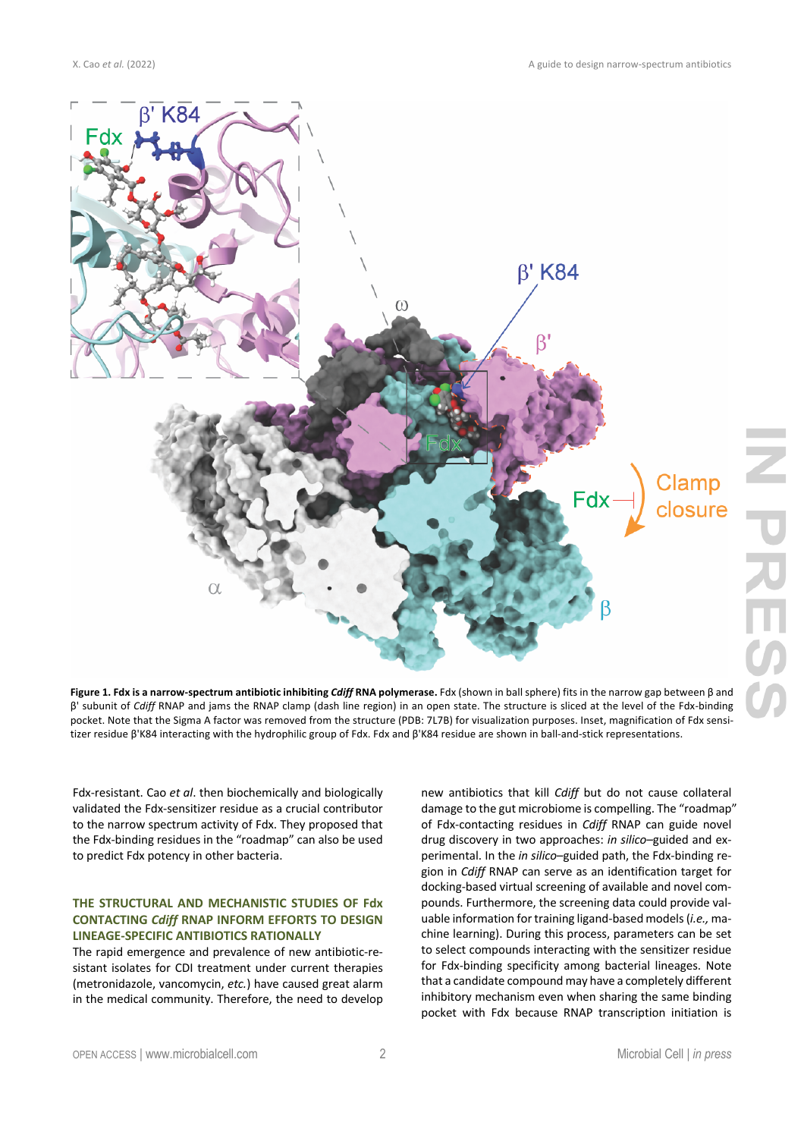

**Figure 1. Fdx is a narrow-spectrum antibiotic inhibiting** *Cdiff* **RNA polymerase.** Fdx (shown in ball sphere) fits in the narrow gap between β and β' subunit of *Cdiff* RNAP and jams the RNAP clamp (dash line region) in an open state. The structure is sliced at the level of the Fdx-binding pocket. Note that the Sigma A factor was removed from the structure (PDB: 7L7B) for visualization purposes. Inset, magnification of Fdx sensitizer residue β'K84 interacting with the hydrophilic group of Fdx. Fdx and β'K84 residue are shown in ball-and-stick representations.

Fdx-resistant. Cao *et al*. then biochemically and biologically validated the Fdx-sensitizer residue as a crucial contributor to the narrow spectrum activity of Fdx. They proposed that the Fdx-binding residues in the "roadmap" can also be used to predict Fdx potency in other bacteria.

# **THE STRUCTURAL AND MECHANISTIC STUDIES OF Fdx CONTACTING** *Cdiff* **RNAP INFORM EFFORTS TO DESIGN LINEAGE-SPECIFIC ANTIBIOTICS RATIONALLY**

The rapid emergence and prevalence of new antibiotic-resistant isolates for CDI treatment under current therapies (metronidazole, vancomycin, *etc.*) have caused great alarm in the medical community. Therefore, the need to develop

new antibiotics that kill *Cdiff* but do not cause collateral damage to the gut microbiome is compelling. The "roadmap" of Fdx-contacting residues in *Cdiff* RNAP can guide novel drug discovery in two approaches: *in silico–*guided and experimental. In the *in silico*–guided path, the Fdx-binding region in *Cdiff* RNAP can serve as an identification target for docking-based virtual screening of available and novel compounds. Furthermore, the screening data could provide valuable information for training ligand-based models (*i.e.,* machine learning). During this process, parameters can be set to select compounds interacting with the sensitizer residue for Fdx-binding specificity among bacterial lineages. Note that a candidate compound may have a completely different inhibitory mechanism even when sharing the same binding pocket with Fdx because RNAP transcription initiation is